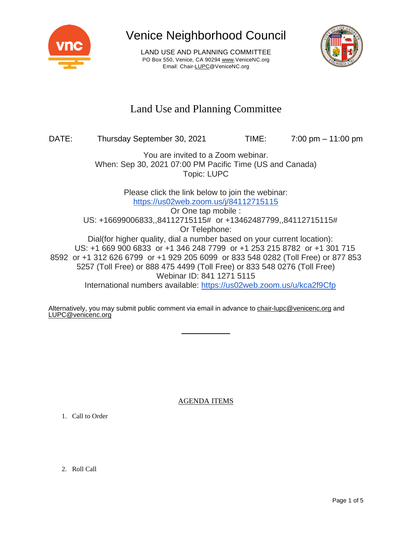

LAND USE AND PLANNING COMMITTEE PO Box 550, Venice, CA 90294 [www.VeniceNC.org](http://www.venicenc.org/) Email: Chai[r-LUPC@VeniceNC.org](mailto:LUPC@VeniceNC.org)



### Land Use and Planning Committee

### DATE: Thursday September 30, 2021 TIME: 7:00 pm – 11:00 pm

You are invited to a Zoom webinar. When: Sep 30, 2021 07:00 PM Pacific Time (US and Canada) Topic: LUPC

> Please click the link below to join the webinar: <https://us02web.zoom.us/j/84112715115>

Or One tap mobile : US: +16699006833,,84112715115# or +13462487799,,84112715115# Or Telephone: Dial(for higher quality, dial a number based on your current location): US: +1 669 900 6833 or +1 346 248 7799 or +1 253 215 8782 or +1 301 715 8592 or +1 312 626 6799 or +1 929 205 6099 or 833 548 0282 (Toll Free) or 877 853 5257 (Toll Free) or 888 475 4499 (Toll Free) or 833 548 0276 (Toll Free) Webinar ID: 841 1271 5115 International numbers available: <https://us02web.zoom.us/u/kca2f9Cfp>

Alternatively, you may submit public comment via email in advance to [chair-lupc@venicenc.org](mailto:chair-lupc@venicenc.org) and [LUPC@venicenc.org](mailto:LUPC@venicenc.org)

AGENDA ITEMS

1. Call to Order

2. Roll Call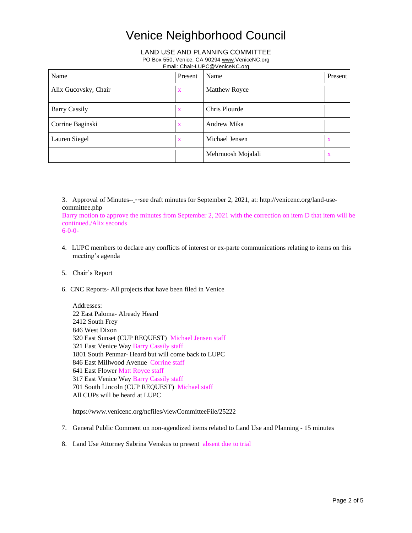#### LAND USE AND PLANNING COMMITTEE

#### PO Box 550, Venice, CA 90294 [www.VeniceNC.org](http://www.venicenc.org/)

Email: Chai[r-LUPC@VeniceNC.org](mailto:LUPC@VeniceNC.org)

| Name                 | Present      | Name                 | Present      |
|----------------------|--------------|----------------------|--------------|
| Alix Gucovsky, Chair | X            | <b>Matthew Royce</b> |              |
| <b>Barry Cassily</b> | X            | Chris Plourde        |              |
| Corrine Baginski     | $\mathbf{X}$ | Andrew Mika          |              |
| Lauren Siegel        | X            | Michael Jensen       | $\mathbf{X}$ |
|                      |              | Mehrnoosh Mojalali   | $\mathbf{X}$ |

3. Approval of Minutes-- --see draft minutes for September 2, 2021, at: http://venicenc.org/land-usecommittee.php

Barry motion to approve the minutes from September 2, 2021 with the correction on item D that item will be continued./Alix seconds 6-0-0-

- 4. LUPC members to declare any conflicts of interest or ex-parte communications relating to items on this meeting's agenda
- 5. Chair's Report
- 6. CNC Reports- All projects that have been filed in Venice

Addresses: East Paloma- Already Heard South Frey West Dixon East Sunset (CUP REQUEST) Michael Jensen staff East Venice Way Barry Cassily staff South Penmar- Heard but will come back to LUPC East Millwood Avenue Corrine staff East Flower Matt Royce staff East Venice Way Barry Cassily staff South Lincoln (CUP REQUEST) Michael staff All CUPs will be heard at LUPC

https://www.venicenc.org/ncfiles/viewCommitteeFile/25222

- 7. General Public Comment on non-agendized items related to Land Use and Planning 15 minutes
- 8. Land Use Attorney Sabrina Venskus to present absent due to trial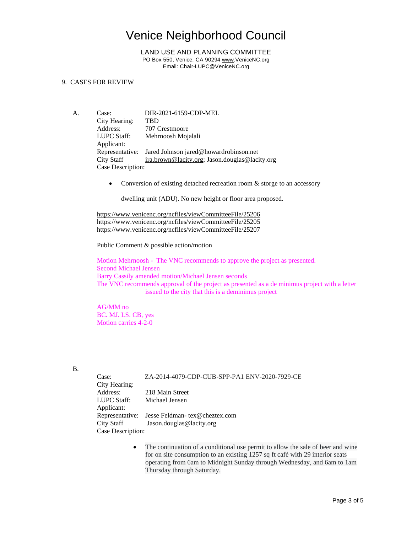LAND USE AND PLANNING COMMITTEE PO Box 550, Venice, CA 90294 [www.VeniceNC.org](http://www.venicenc.org/) Email: Chai[r-LUPC@VeniceNC.org](mailto:LUPC@VeniceNC.org)

#### 9. CASES FOR REVIEW

- A. Case: DIR-2021-6159-CDP-MEL City Hearing: TBD Address: 707 Crestmoore LUPC Staff: Mehrnoosh Mojalali Applicant: Representative: Jared Johnson jared@howardrobinson.net City Staff [ira.brown@lacity.org;](mailto:ira.brown@lacity.org) Jason.douglas@lacity.org Case Description:
	- Conversion of existing detached recreation room  $\&$  storge to an accessory

dwelling unit (ADU). No new height or floor area proposed.

<https://www.venicenc.org/ncfiles/viewCommitteeFile/25206> <https://www.venicenc.org/ncfiles/viewCommitteeFile/25205> https://www.venicenc.org/ncfiles/viewCommitteeFile/25207

Public Comment & possible action/motion

Motion Mehrnoosh - The VNC recommends to approve the project as presented. Second Michael Jensen Barry Cassily amended motion/Michael Jensen seconds The VNC recommends approval of the project as presented as a de minimus project with a letter issued to the city that this is a deminimus project

AG/MM no BC. MJ. LS. CB, yes Motion carries 4-2-0

B.

| Case:         | ZA-2014-4079-CDP-CUB-SPP-PA1 ENV-2020-7929-CE |
|---------------|-----------------------------------------------|
| City Hearing: |                                               |
| Address:      | 218 Main Street                               |
| LUPC Staff:   | Michael Jensen                                |
| Applicant:    |                                               |
|               | Representative: Jesse Feldman-tex@cheztex.com |
| City Staff    | Jason.douglas@lacity.org                      |

Case Description:

• The continuation of a conditional use permit to allow the sale of beer and wine for on site consumption to an existing 1257 sq ft café with 29 interior seats operating from 6am to Midnight Sunday through Wednesday, and 6am to 1am Thursday through Saturday.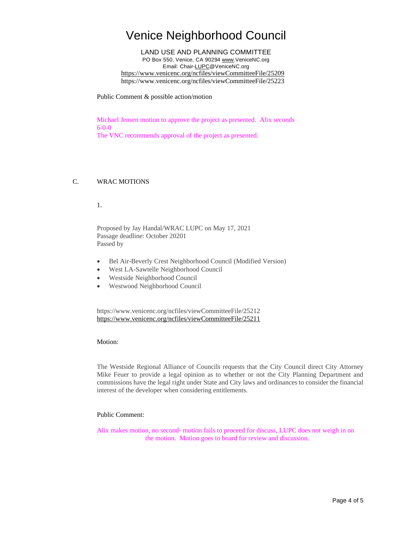LAND USE AND PLANNING COMMITTEE PO Box 550, Venice, CA 90294 [www.VeniceNC.org](http://www.venicenc.org/) Email: Chai[r-LUPC@VeniceNC.org](mailto:LUPC@VeniceNC.org) <https://www.venicenc.org/ncfiles/viewCommitteeFile/25209> https://www.venicenc.org/ncfiles/viewCommitteeFile/25223

Public Comment & possible action/motion

Michael Jensen motion to approve the project as presented. Alix seconds 6-0-0

The VNC recommends approval of the project as presented.

#### C. WRAC MOTIONS

1.

Proposed by Jay Handal/WRAC LUPC on May 17, 2021 Passage deadline: October 20201 Passed by

- Bel Air-Beverly Crest Neighborhood Council (Modified Version)
- West LA-Sawtelle Neighborhood Council
- Westside Neighborhood Council
- Westwood Neighborhood Council

https://www.venicenc.org/ncfiles/viewCommitteeFile/25212 <https://www.venicenc.org/ncfiles/viewCommitteeFile/25211>

Motion:

The Westside Regional Alliance of Councils requests that the City Council direct City Attorney Mike Feuer to provide a legal opinion as to whether or not the City Planning Department and commissions have the legal right under State and City laws and ordinances to consider the financial interest of the developer when considering entitlements.

#### Public Comment:

Alix makes motion, no second- motion fails to proceed for discuss, LUPC does not weigh in on the motion. Motion goes to board for review and discussion.